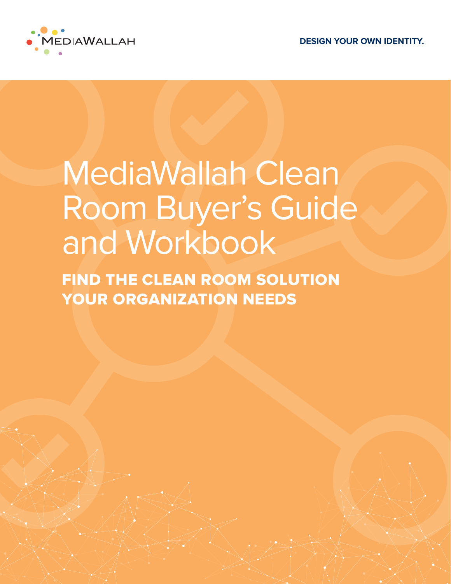

# MediaWallah Clean Room Buyer's Guide and Workbook

FIND THE CLEAN ROOM SOLUTION YOUR ORGANIZATION NEEDS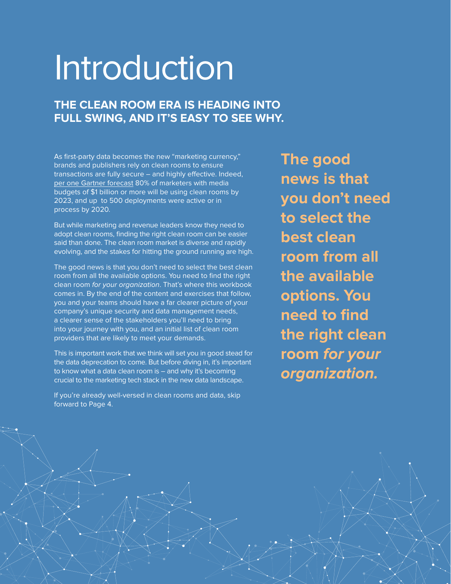# Introduction

### **THE CLEAN ROOM ERA IS HEADING INTO FULL SWING, AND IT'S EASY TO SEE WHY.**

As first-party data becomes the new "marketing currency," brands and publishers rely on clean rooms to ensure transactions are fully secure – and highly effective. Indeed, [per one Gartner forecast](https://www.marketingdive.com/news/omnicom-data-unit-taps-infosum-tech-to-expand-clean-room-capabilities/600559/) 80% of marketers with media budgets of \$1 billion or more will be using clean rooms by 2023, and up to 500 deployments were active or in process by 2020.

But while marketing and revenue leaders know they need to adopt clean rooms, finding the right clean room can be easier said than done. The clean room market is diverse and rapidly evolving, and the stakes for hitting the ground running are high.

The good news is that you don't need to select the best clean room from all the available options. You need to find the right clean room for your organization. That's where this workbook comes in. By the end of the content and exercises that follow, you and your teams should have a far clearer picture of your company's unique security and data management needs, a clearer sense of the stakeholders you'll need to bring into your journey with you, and an initial list of clean room providers that are likely to meet your demands.

This is important work that we think will set you in good stead for the data deprecation to come. But before diving in, it's important to know what a data clean room is – and why it's becoming crucial to the marketing tech stack in the new data landscape.

If you're already well-versed in clean rooms and data, skip forward to Page 4.

**The good news is that you don't need to select the best clean room from all the available options. You need to find the right clean room for your organization.**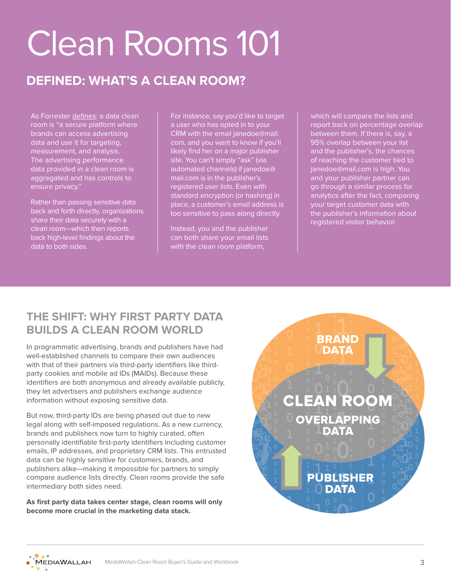# Clean Rooms 101

# **DEFINED: WHAT'S A CLEAN ROOM?**

As Forrester [defines](https://www.forrester.com/report/title/RES175476): a data clean room is "a secure platform where brands can access advertising data and use it for targeting, measurement, and analysis. The advertising performance data provided in a clean room is aggregated and has controls to ensure privacy."

Rather than passing sensitive data back and forth directly, organizations share their data securely with a clean room—which then reports back high-level findings about the data to both sides.

For instance, say you'd like to target a user who has opted in to your CRM with the email janedoe@mail. com, and you want to know if you'll likely find her on a major publisher site. You can't simply "ask" (via automated channels) if janedoe@ mail.com is in the publisher's registered user lists. Even with standard encryption (or hashing) in place, a customer's email address is too sensitive to pass along directly.

Instead, you and the publisher can both share your email lists with the clean room platform,

which will compare the lists and report back on percentage overlap between them. If there is, say, a 95% overlap between your list and the publisher's, the chances of reaching the customer tied to janedoe@mail.com is high. You and your publisher partner can go through a similar process for analytics after the fact, comparing your target customer data with the publisher's information about registered visitor behavior.

### **THE SHIFT: WHY FIRST PARTY DATA BUILDS A CLEAN ROOM WORLD**

In programmatic advertising, brands and publishers have had well-established channels to compare their own audiences with that of their partners via third-party identifiers like thirdparty cookies and mobile ad IDs (MAIDs). Because these identifiers are both anonymous and already available publicly, they let advertisers and publishers exchange audience information without exposing sensitive data.

But now, third-party IDs are being phased out due to new legal along with self-imposed regulations. As a new currency, brands and publishers now turn to highly curated, often personally identifiable first-party identifiers including customer emails, IP addresses, and proprietary CRM lists. This entrusted data can be highly sensitive for customers, brands, and publishers alike—making it impossible for partners to simply compare audience lists directly. Clean rooms provide the safe intermediary both sides need.

**As first party data takes center stage, clean rooms will only become more crucial in the marketing data stack.**



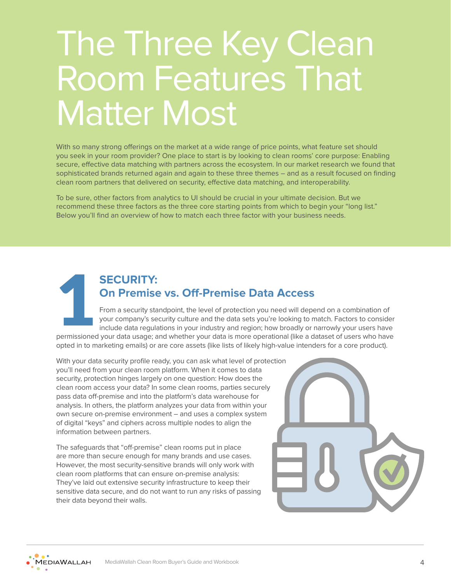# The Three Key Clean Room Features That Matter Most

With so many strong offerings on the market at a wide range of price points, what feature set should you seek in your room provider? One place to start is by looking to clean rooms' core purpose: Enabling secure, effective data matching with partners across the ecosystem. In our market research we found that sophisticated brands returned again and again to these three themes – and as a result focused on finding clean room partners that delivered on security, effective data matching, and interoperability.

To be sure, other factors from analytics to UI should be crucial in your ultimate decision. But we recommend these three factors as the three core starting points from which to begin your "long list." Below you'll find an overview of how to match each three factor with your business needs.



### **SECURITY: On Premise vs. Off-Premise Data Access**

From a security standpoint, the level of protection you need will depend on a combination of your company's security culture and the data sets you're looking to match. Factors to consider include data regulations in your industry and region; how broadly or narrowly your users have permissioned your data usage; and whether your data is more operational (like a dataset of users who have

opted in to marketing emails) or are core assets (like lists of likely high-value intenders for a core product).

With your data security profile ready, you can ask what level of protection you'll need from your clean room platform. When it comes to data security, protection hinges largely on one question: How does the clean room access your data? In some clean rooms, parties securely pass data off-premise and into the platform's data warehouse for analysis. In others, the platform analyzes your data from within your own secure on-premise environment – and uses a complex system of digital "keys" and ciphers across multiple nodes to align the information between partners.

The safeguards that "off-premise" clean rooms put in place are more than secure enough for many brands and use cases. However, the most security-sensitive brands will only work with clean room platforms that can ensure on-premise analysis: They've laid out extensive security infrastructure to keep their sensitive data secure, and do not want to run any risks of passing their data beyond their walls.



**MEDIAWALLAH**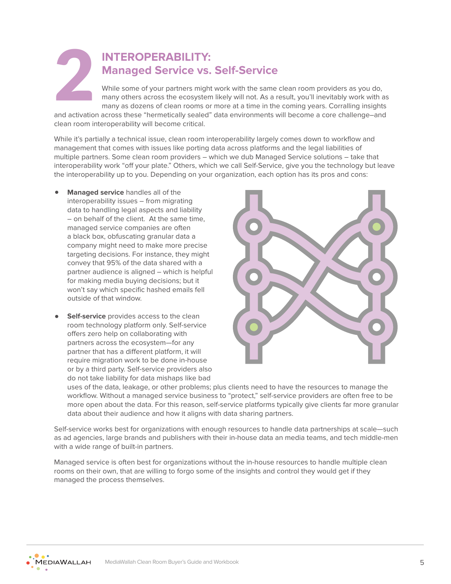## **INTEROPERABILITY: Managed Service vs. Self-Service**

While some of your partners might work with the same clean room providers as you do, many others across the ecosystem likely will not. As a result, you'll inevitably work with as many as dozens of clean rooms or more at a time in the coming years. Corralling insights and activation across these "hermetically sealed" data environments will become a core challenge–and **2** 

clean room interoperability will become critical.

While it's partially a technical issue, clean room interoperability largely comes down to workflow and management that comes with issues like porting data across platforms and the legal liabilities of multiple partners. Some clean room providers – which we dub Managed Service solutions – take that interoperability work "off your plate." Others, which we call Self-Service, give you the technology but leave the interoperability up to you. Depending on your organization, each option has its pros and cons:

- **Managed service** handles all of the interoperability issues – from migrating data to handling legal aspects and liability – on behalf of the client. At the same time, managed service companies are often a black box, obfuscating granular data a company might need to make more precise targeting decisions. For instance, they might convey that 95% of the data shared with a partner audience is aligned – which is helpful for making media buying decisions; but it won't say which specific hashed emails fell outside of that window.
- **Self-service** provides access to the clean room technology platform only. Self-service offers zero help on collaborating with partners across the ecosystem—for any partner that has a different platform, it will require migration work to be done in-house or by a third party. Self-service providers also do not take liability for data mishaps like bad



uses of the data, leakage, or other problems; plus clients need to have the resources to manage the workflow. Without a managed service business to "protect," self-service providers are often free to be more open about the data. For this reason, self-service platforms typically give clients far more granular data about their audience and how it aligns with data sharing partners.

Self-service works best for organizations with enough resources to handle data partnerships at scale—such as ad agencies, large brands and publishers with their in-house data an media teams, and tech middle-men with a wide range of built-in partners.

Managed service is often best for organizations without the in-house resources to handle multiple clean rooms on their own, that are willing to forgo some of the insights and control they would get if they managed the process themselves.

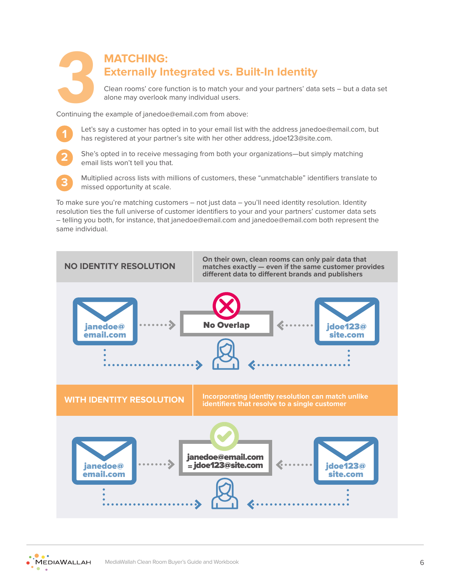# **MATCHING: Externally Integrated vs. Built-In Identity** Clean rooms' core function is to match your and your partners' data sets – but a data set<br>
Clean rooms' core function is to match your and your partners' data sets – but a data set<br>
Continuing the example of janedoe@email.

Continuing the example of janedoe@email.com from above:

**1**

Let's say a customer has opted in to your email list with the address janedoe@email.com, but has registered at your partner's site with her other address, jdoe123@site.com.



She's opted in to receive messaging from both your organizations—but simply matching email lists won't tell you that.



Multiplied across lists with millions of customers, these "unmatchable" identifiers translate to missed opportunity at scale.

To make sure you're matching customers – not just data – you'll need identity resolution. Identity resolution ties the full universe of customer identifiers to your and your partners' customer data sets – telling you both, for instance, that janedoe@email.com and janedoe@email.com both represent the same individual.



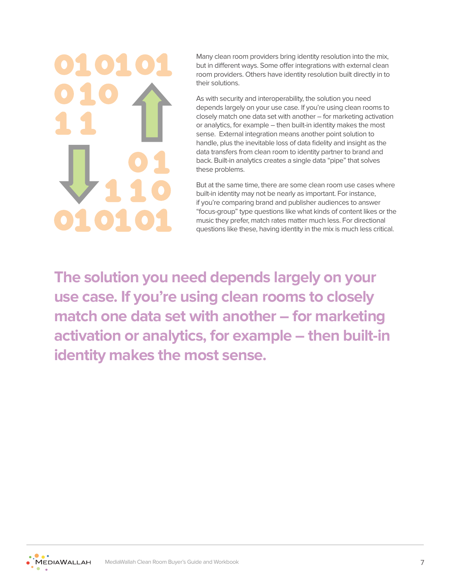Many clean room providers bring identity resolution into the mix, but in different ways. Some offer integrations with external clean room providers. Others have identity resolution built directly in to their solutions.

As with security and interoperability, the solution you need depends largely on your use case. If you're using clean rooms to closely match one data set with another – for marketing activation or analytics, for example – then built-in identity makes the most sense. External integration means another point solution to handle, plus the inevitable loss of data fidelity and insight as the data transfers from clean room to identity partner to brand and back. Built-in analytics creates a single data "pipe" that solves these problems.

But at the same time, there are some clean room use cases where built-in identity may not be nearly as important. For instance, if you're comparing brand and publisher audiences to answer "focus-group" type questions like what kinds of content likes or the music they prefer, match rates matter much less. For directional questions like these, having identity in the mix is much less critical.

**The solution you need depends largely on your use case. If you're using clean rooms to closely match one data set with another – for marketing activation or analytics, for example – then built-in identity makes the most sense.**

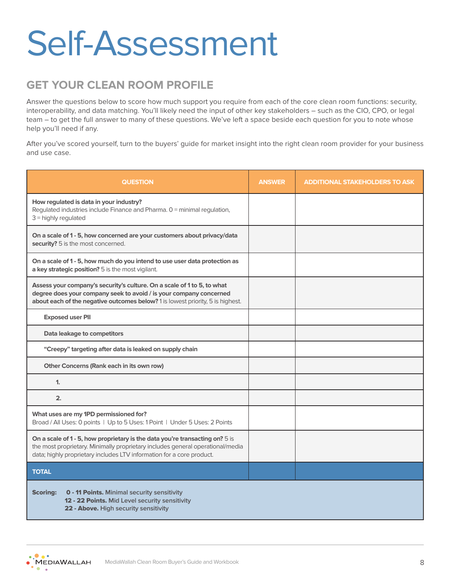# Self-Assessment

### **GET YOUR CLEAN ROOM PROFILE**

Answer the questions below to score how much support you require from each of the core clean room functions: security, interoperability, and data matching. You'll likely need the input of other key stakeholders – such as the CIO, CPO, or legal team – to get the full answer to many of these questions. We've left a space beside each question for you to note whose help you'll need if any.

After you've scored yourself, turn to the buyers' guide for market insight into the right clean room provider for your business and use case.

| <b>QUESTION</b>                                                                                                                                                                                                                         | <b>ANSWER</b> | <b>ADDITIONAL STAKEHOLDERS TO ASK</b> |  |  |
|-----------------------------------------------------------------------------------------------------------------------------------------------------------------------------------------------------------------------------------------|---------------|---------------------------------------|--|--|
| How regulated is data in your industry?<br>Regulated industries include Finance and Pharma. 0 = minimal regulation,<br>$3$ = highly regulated                                                                                           |               |                                       |  |  |
| On a scale of 1 - 5, how concerned are your customers about privacy/data<br>security? 5 is the most concerned.                                                                                                                          |               |                                       |  |  |
| On a scale of 1 - 5, how much do you intend to use user data protection as<br>a key strategic position? 5 is the most vigilant.                                                                                                         |               |                                       |  |  |
| Assess your company's security's culture. On a scale of 1 to 5, to what<br>degree does your company seek to avoid / is your company concerned<br>about each of the negative outcomes below? 1 is lowest priority, 5 is highest.         |               |                                       |  |  |
| <b>Exposed user PII</b>                                                                                                                                                                                                                 |               |                                       |  |  |
| Data leakage to competitors                                                                                                                                                                                                             |               |                                       |  |  |
| "Creepy" targeting after data is leaked on supply chain                                                                                                                                                                                 |               |                                       |  |  |
| Other Concerns (Rank each in its own row)                                                                                                                                                                                               |               |                                       |  |  |
| $\mathbf{1}$                                                                                                                                                                                                                            |               |                                       |  |  |
| 2.                                                                                                                                                                                                                                      |               |                                       |  |  |
| What uses are my 1PD permissioned for?<br>Broad / All Uses: 0 points   Up to 5 Uses: 1 Point   Under 5 Uses: 2 Points                                                                                                                   |               |                                       |  |  |
| On a scale of 1 - 5, how proprietary is the data you're transacting on? 5 is<br>the most proprietary. Minimally proprietary includes general operational/media<br>data; highly proprietary includes LTV information for a core product. |               |                                       |  |  |
| <b>TOTAL</b>                                                                                                                                                                                                                            |               |                                       |  |  |
| <b>0 - 11 Points. Minimal security sensitivity</b><br><b>Scoring:</b><br>12 - 22 Points. Mid Level security sensitivity<br>22 - Above. High security sensitivity                                                                        |               |                                       |  |  |

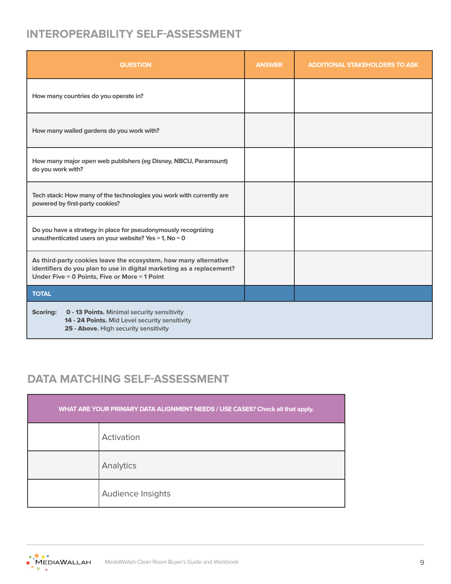### **INTEROPERABILITY SELF-ASSESSMENT**

| <b>QUESTION</b>                                                                                                                                                                            | <b>ANSWER</b> | <b>ADDITIONAL STAKEHOLDERS TO ASK</b> |
|--------------------------------------------------------------------------------------------------------------------------------------------------------------------------------------------|---------------|---------------------------------------|
| How many countries do you operate in?                                                                                                                                                      |               |                                       |
| How many walled gardens do you work with?                                                                                                                                                  |               |                                       |
| How many major open web publishers (eg Disney, NBCU, Paramount)<br>do you work with?                                                                                                       |               |                                       |
| Tech stack: How many of the technologies you work with currently are<br>powered by first-party cookies?                                                                                    |               |                                       |
| Do you have a strategy in place for pseudonymously recognizing<br>unauthenticated users on your website? Yes = 1, No = 0                                                                   |               |                                       |
| As third-party cookies leave the ecosystem, how many alternative<br>identifiers do you plan to use in digital marketing as a replacement?<br>Under Five = 0 Points, Five or More = 1 Point |               |                                       |
| <b>TOTAL</b>                                                                                                                                                                               |               |                                       |
| <b>Scoring:</b><br><b>0 - 13 Points. Minimal security sensitivity</b><br>14 - 24 Points. Mid Level security sensitivity<br>25 - Above. High security sensitivity                           |               |                                       |

## **DATA MATCHING SELF-ASSESSMENT**

| WHAT ARE YOUR PRIMARY DATA ALIGNMENT NEEDS / USE CASES? Check all that apply. |                   |  |  |  |
|-------------------------------------------------------------------------------|-------------------|--|--|--|
|                                                                               | Activation        |  |  |  |
|                                                                               | Analytics         |  |  |  |
|                                                                               | Audience Insights |  |  |  |

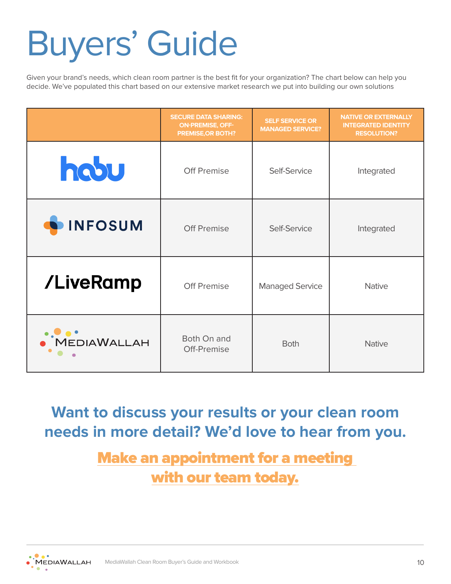# Buyers' Guide

Given your brand's needs, which clean room partner is the best fit for your organization? The chart below can help you decide. We've populated this chart based on our extensive market research we put into building our own solutions

|                     | <b>SECURE DATA SHARING:</b><br><b>ON-PREMISE, OFF-</b><br><b>PREMISE, OR BOTH?</b> | <b>SELF SERVICE OR</b><br><b>MANAGED SERVICE?</b> | <b>NATIVE OR EXTERNALLY</b><br><b>INTEGRATED IDENTITY</b><br><b>RESOLUTION?</b> |
|---------------------|------------------------------------------------------------------------------------|---------------------------------------------------|---------------------------------------------------------------------------------|
| hobu                | <b>Off Premise</b>                                                                 | Self-Service                                      | Integrated                                                                      |
| <b>INFOSUM</b>      | <b>Off Premise</b>                                                                 | Self-Service                                      | Integrated                                                                      |
| /LiveRamp           | Off Premise                                                                        | <b>Managed Service</b>                            | <b>Native</b>                                                                   |
| OOOO<br>DEDIAWALLAH | Both On and<br>Off-Premise                                                         | <b>Both</b>                                       | <b>Native</b>                                                                   |

**Want to discuss your results or your clean room needs in more detail? We'd love to hear from you.** 

> [Make an appointment for a meeting](https://mediawallah.com/contact/)  [with our team today.](https://mediawallah.com/contact/)